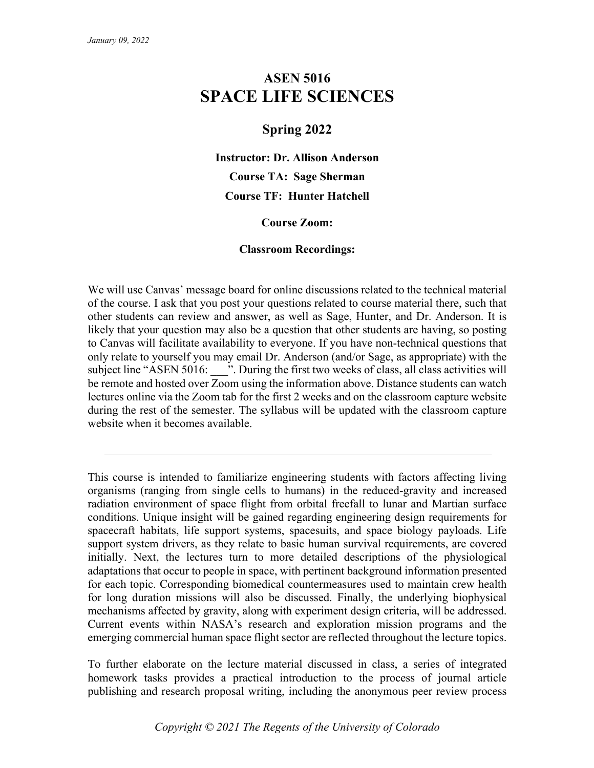# **ASEN 5016 SPACE LIFE SCIENCES**

# **Spring 2022**

**Instructor: Dr. Allison Anderson Course TA: Sage Sherman Course TF: Hunter Hatchell**

#### **Course Zoom:**

#### **Classroom Recordings:**

We will use Canvas' message board for online discussions related to the technical material of the course. I ask that you post your questions related to course material there, such that other students can review and answer, as well as Sage, Hunter, and Dr. Anderson. It is likely that your question may also be a question that other students are having, so posting to Canvas will facilitate availability to everyone. If you have non-technical questions that only relate to yourself you may email Dr. Anderson (and/or Sage, as appropriate) with the subject line "ASEN 5016: ". During the first two weeks of class, all class activities will be remote and hosted over Zoom using the information above. Distance students can watch lectures online via the Zoom tab for the first 2 weeks and on the classroom capture website during the rest of the semester. The syllabus will be updated with the classroom capture website when it becomes available.

This course is intended to familiarize engineering students with factors affecting living organisms (ranging from single cells to humans) in the reduced-gravity and increased radiation environment of space flight from orbital freefall to lunar and Martian surface conditions. Unique insight will be gained regarding engineering design requirements for spacecraft habitats, life support systems, spacesuits, and space biology payloads. Life support system drivers, as they relate to basic human survival requirements, are covered initially. Next, the lectures turn to more detailed descriptions of the physiological adaptations that occur to people in space, with pertinent background information presented for each topic. Corresponding biomedical countermeasures used to maintain crew health for long duration missions will also be discussed. Finally, the underlying biophysical mechanisms affected by gravity, along with experiment design criteria, will be addressed. Current events within NASA's research and exploration mission programs and the emerging commercial human space flight sector are reflected throughout the lecture topics.

To further elaborate on the lecture material discussed in class, a series of integrated homework tasks provides a practical introduction to the process of journal article publishing and research proposal writing, including the anonymous peer review process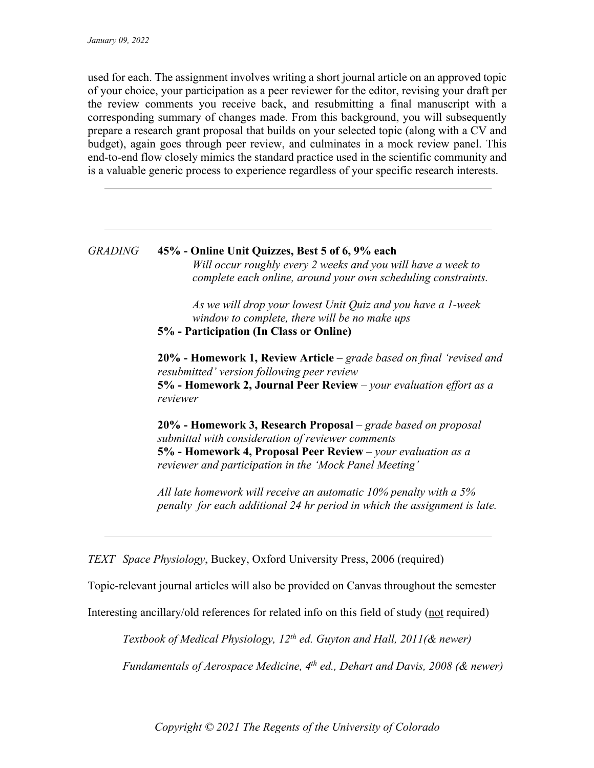used for each. The assignment involves writing a short journal article on an approved topic of your choice, your participation as a peer reviewer for the editor, revising your draft per the review comments you receive back, and resubmitting a final manuscript with a corresponding summary of changes made. From this background, you will subsequently prepare a research grant proposal that builds on your selected topic (along with a CV and budget), again goes through peer review, and culminates in a mock review panel. This end-to-end flow closely mimics the standard practice used in the scientific community and is a valuable generic process to experience regardless of your specific research interests.

## *GRADING* **45% - Online Unit Quizzes, Best 5 of 6, 9% each** *Will occur roughly every 2 weeks and you will have a week to complete each online, around your own scheduling constraints.*

*As we will drop your lowest Unit Quiz and you have a 1-week window to complete, there will be no make ups* **5% - Participation (In Class or Online)**

**20% - Homework 1, Review Article** – *grade based on final 'revised and resubmitted' version following peer review* **5% - Homework 2, Journal Peer Review** *– your evaluation effort as a reviewer*

**20% - Homework 3, Research Proposal** – *grade based on proposal submittal with consideration of reviewer comments* **5% - Homework 4, Proposal Peer Review** *– your evaluation as a reviewer and participation in the 'Mock Panel Meeting'*

*All late homework will receive an automatic 10% penalty with a 5% penalty for each additional 24 hr period in which the assignment is late.*

*TEXT Space Physiology*, Buckey, Oxford University Press, 2006 (required)

Topic-relevant journal articles will also be provided on Canvas throughout the semester

Interesting ancillary/old references for related info on this field of study (not required)

*Textbook of Medical Physiology, 12th ed. Guyton and Hall, 2011(& newer)*

*Fundamentals of Aerospace Medicine, 4th ed., Dehart and Davis, 2008 (& newer)*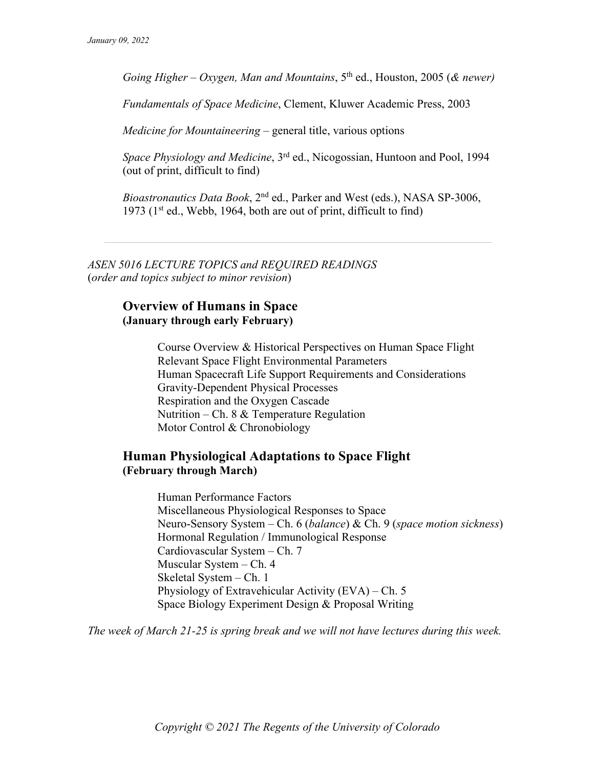*Going Higher – Oxygen, Man and Mountains*, 5th ed., Houston, 2005 (*& newer)*

*Fundamentals of Space Medicine*, Clement, Kluwer Academic Press, 2003

*Medicine for Mountaineering* – general title, various options

*Space Physiology and Medicine*, 3rd ed., Nicogossian, Huntoon and Pool, 1994 (out of print, difficult to find)

*Bioastronautics Data Book*, 2nd ed., Parker and West (eds.), NASA SP-3006, 1973 ( $1<sup>st</sup>$  ed., Webb, 1964, both are out of print, difficult to find)

*ASEN 5016 LECTURE TOPICS and REQUIRED READINGS* (*order and topics subject to minor revision*)

#### **Overview of Humans in Space (January through early February)**

Course Overview & Historical Perspectives on Human Space Flight Relevant Space Flight Environmental Parameters Human Spacecraft Life Support Requirements and Considerations Gravity-Dependent Physical Processes Respiration and the Oxygen Cascade Nutrition – Ch. 8 & Temperature Regulation Motor Control & Chronobiology

#### **Human Physiological Adaptations to Space Flight (February through March)**

Human Performance Factors Miscellaneous Physiological Responses to Space Neuro-Sensory System – Ch. 6 (*balance*) & Ch. 9 (*space motion sickness*) Hormonal Regulation / Immunological Response Cardiovascular System – Ch. 7 Muscular System – Ch. 4 Skeletal System – Ch. 1 Physiology of Extravehicular Activity (EVA) – Ch. 5 Space Biology Experiment Design & Proposal Writing

*The week of March 21-25 is spring break and we will not have lectures during this week.*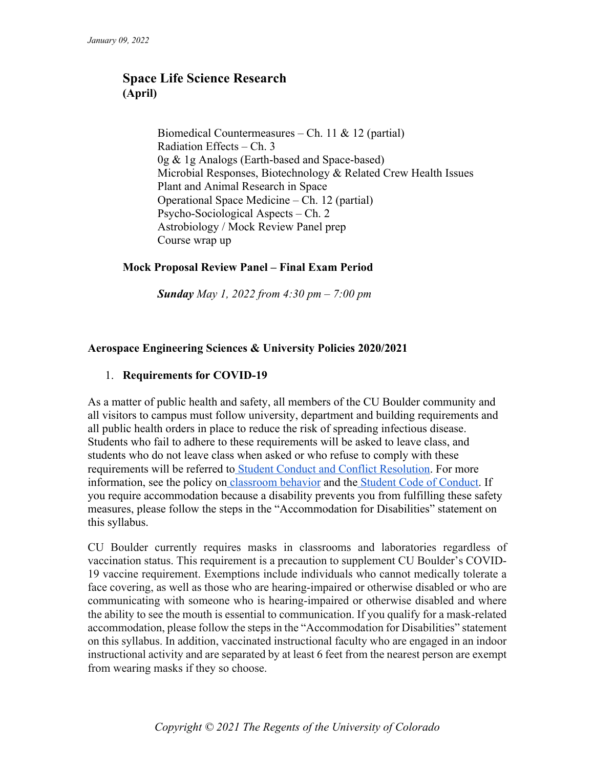# **Space Life Science Research (April)**

Biomedical Countermeasures – Ch. 11 & 12 (partial) Radiation Effects – Ch. 3 0g & 1g Analogs (Earth-based and Space-based) Microbial Responses, Biotechnology & Related Crew Health Issues Plant and Animal Research in Space Operational Space Medicine – Ch. 12 (partial) Psycho-Sociological Aspects – Ch. 2 Astrobiology / Mock Review Panel prep Course wrap up

#### **Mock Proposal Review Panel – Final Exam Period**

*Sunday May 1, 2022 from 4:30 pm – 7:00 pm*

#### **Aerospace Engineering Sciences & University Policies 2020/2021**

#### 1. **Requirements for COVID-19**

As a matter of public health and safety, all members of the CU Boulder community and all visitors to campus must follow university, department and building requirements and all public health orders in place to reduce the risk of spreading infectious disease. Students who fail to adhere to these requirements will be asked to leave class, and students who do not leave class when asked or who refuse to comply with these requirements will be referred to Student Conduct and Conflict Resolution. For more information, see the policy on classroom behavior and the Student Code of Conduct. If you require accommodation because a disability prevents you from fulfilling these safety measures, please follow the steps in the "Accommodation for Disabilities" statement on this syllabus.

CU Boulder currently requires masks in classrooms and laboratories regardless of vaccination status. This requirement is a precaution to supplement CU Boulder's COVID-19 vaccine requirement. Exemptions include individuals who cannot medically tolerate a face covering, as well as those who are hearing-impaired or otherwise disabled or who are communicating with someone who is hearing-impaired or otherwise disabled and where the ability to see the mouth is essential to communication. If you qualify for a mask-related accommodation, please follow the steps in the "Accommodation for Disabilities" statement on this syllabus. In addition, vaccinated instructional faculty who are engaged in an indoor instructional activity and are separated by at least 6 feet from the nearest person are exempt from wearing masks if they so choose.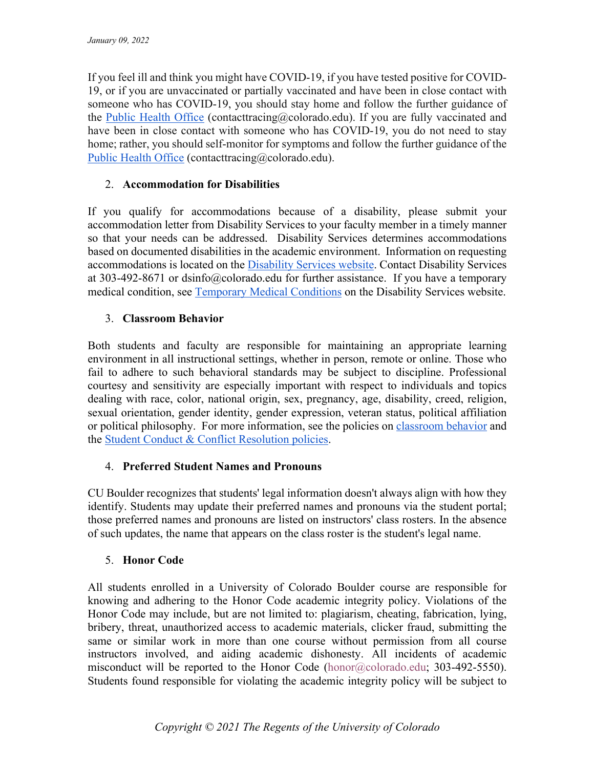If you feel ill and think you might have COVID-19, if you have tested positive for COVID-19, or if you are unvaccinated or partially vaccinated and have been in close contact with someone who has COVID-19, you should stay home and follow the further guidance of the Public Health Office (contacttracing@colorado.edu). If you are fully vaccinated and have been in close contact with someone who has COVID-19, you do not need to stay home; rather, you should self-monitor for symptoms and follow the further guidance of the Public Health Office (contacttracing@colorado.edu).

# 2. **Accommodation for Disabilities**

If you qualify for accommodations because of a disability, please submit your accommodation letter from Disability Services to your faculty member in a timely manner so that your needs can be addressed. Disability Services determines accommodations based on documented disabilities in the academic environment. Information on requesting accommodations is located on the Disability Services website. Contact Disability Services at 303-492-8671 or dsinfo@colorado.edu for further assistance. If you have a temporary medical condition, see Temporary Medical Conditions on the Disability Services website.

## 3. **Classroom Behavior**

Both students and faculty are responsible for maintaining an appropriate learning environment in all instructional settings, whether in person, remote or online. Those who fail to adhere to such behavioral standards may be subject to discipline. Professional courtesy and sensitivity are especially important with respect to individuals and topics dealing with race, color, national origin, sex, pregnancy, age, disability, creed, religion, sexual orientation, gender identity, gender expression, veteran status, political affiliation or political philosophy. For more information, see the policies on *classroom behavior* and the Student Conduct & Conflict Resolution policies.

#### 4. **Preferred Student Names and Pronouns**

CU Boulder recognizes that students' legal information doesn't always align with how they identify. Students may update their preferred names and pronouns via the student portal; those preferred names and pronouns are listed on instructors' class rosters. In the absence of such updates, the name that appears on the class roster is the student's legal name.

# 5. **Honor Code**

All students enrolled in a University of Colorado Boulder course are responsible for knowing and adhering to the Honor Code academic integrity policy. Violations of the Honor Code may include, but are not limited to: plagiarism, cheating, fabrication, lying, bribery, threat, unauthorized access to academic materials, clicker fraud, submitting the same or similar work in more than one course without permission from all course instructors involved, and aiding academic dishonesty. All incidents of academic misconduct will be reported to the Honor Code (honor@colorado.edu; 303-492-5550). Students found responsible for violating the academic integrity policy will be subject to